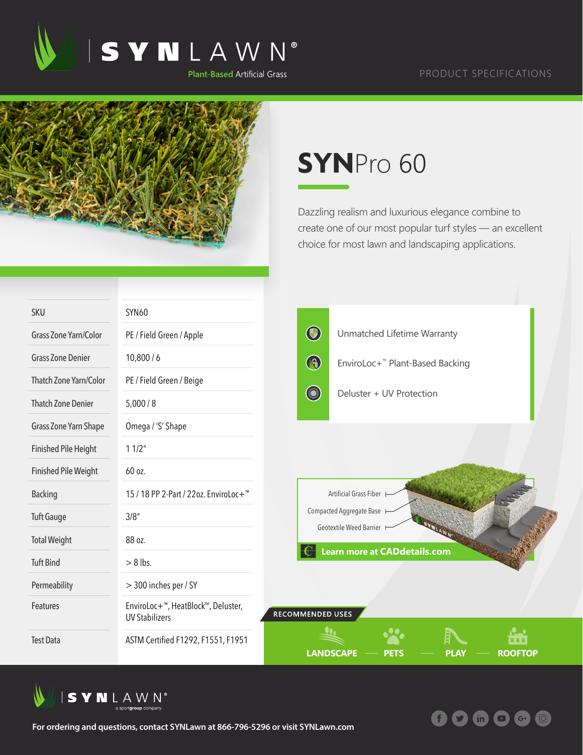

## PRODUCT SPECIFICATIONS



## **SYN**Pro 60

Dazzling realism and luxurious elegance combine to create one of our most popular turf styles — an excellent choice for most lawn and landscaping applications.

**f** 9

 $\mathbf{in}$ 

 $\left($  G+

 $\bullet$ 

| <b>SKU</b>                  | <b>SYN60</b>                                                |                                                                  |  |  |
|-----------------------------|-------------------------------------------------------------|------------------------------------------------------------------|--|--|
| Grass Zone Yarn/Color       | PE / Field Green / Apple                                    | $\bigcirc$<br>Unmatched Lifetime Warranty                        |  |  |
| <b>Grass Zone Denier</b>    | 10,800/6                                                    | $\bigcirc$<br>EnviroLoc+ <sup>™</sup> Plant-Based Backing        |  |  |
| Thatch Zone Yarn/Color      | PE / Field Green / Beige                                    |                                                                  |  |  |
| <b>Thatch Zone Denier</b>   | 5,000/8                                                     | Deluster + UV Protection                                         |  |  |
| Grass Zone Yarn Shape       | Omega / 'S' Shape                                           |                                                                  |  |  |
| <b>Finished Pile Height</b> | 11/2"                                                       |                                                                  |  |  |
| <b>Finished Pile Weight</b> | 60 oz.                                                      |                                                                  |  |  |
| <b>Backing</b>              | 15 / 18 PP 2-Part / 22oz. EnviroLoc+ <sup>™</sup>           | Artificial Grass Fiber                                           |  |  |
| <b>Tuft Gauge</b>           | 3/8''                                                       | Compacted Aggregate Base<br>Geotextile Weed Barrier              |  |  |
| <b>Total Weight</b>         | 88 oz.                                                      |                                                                  |  |  |
| <b>Tuft Bind</b>            | $> 8$ lbs.                                                  | <b>Learn more at CADdetails.com</b>                              |  |  |
| Permeability                | > 300 inches per / SY                                       |                                                                  |  |  |
| Features                    | EnviroLoc+™, HeatBlock™, Deluster,<br><b>UV Stabilizers</b> | <b>RECOMMENDED USES</b>                                          |  |  |
| <b>Test Data</b>            | ASTM Certified F1292, F1551, F1951                          | <b>LANDSCAPE</b><br><b>ROOFTOP</b><br><b>PLAY</b><br><b>PETS</b> |  |  |



**For ordering and questions, contact SYNLawn at 866-796-5296 or visit SYNLawn.com**